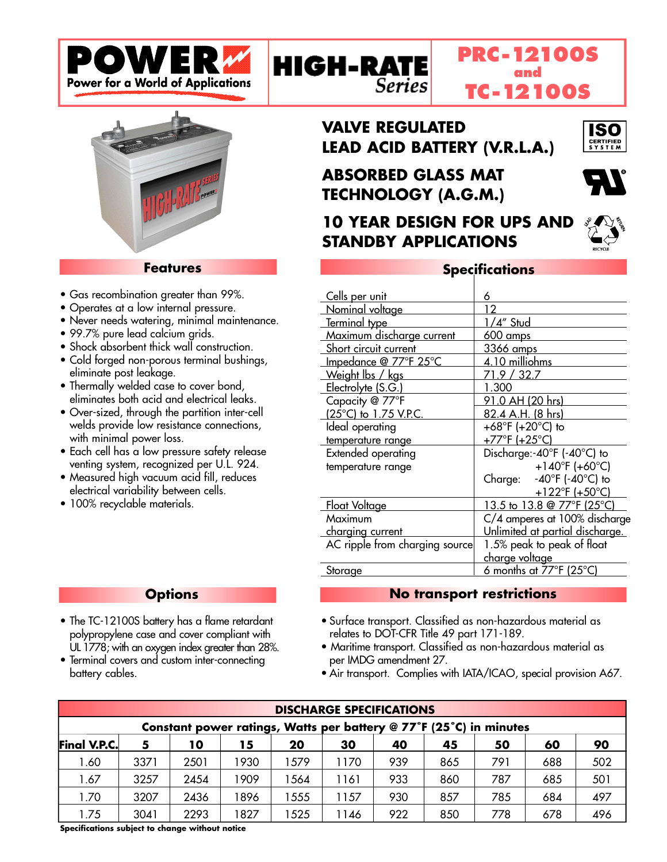



### **Features**

- Gas recombination greater than 99%.
- Operates at a low internal pressure.
- Never needs watering, minimal maintenance.
- 99.7% pure lead calcium grids.
- Shock absorbent thick wall construction.
- Cold forged non-porous terminal bushings, eliminate post leakage.
- Thermally welded case to cover bond, eliminates both acid and electrical leaks.
- Over-sized, through the partition inter-cell welds provide low resistance connections, with minimal power loss.
- Each cell has a low pressure safety release venting system, recognized per U.L. 924.
- Measured high vacuum acid fill, reduces electrical variability between cells.
- 100% recyclable materials.

# **VALVE REGULATED LEAD ACID BATTERY (V.R.L.A.)**

# **ABSORBED GLASS MAT TECHNOLOGY (A.G.M.)**

**Series** 

**HIGH-RATE** 

**10 YEAR DESIGN FOR UPS AND STANDBY APPLICATIONS**



ISO **ERTIFIED**<br>{ Y S T E M

## **Specifications**

**PRC-12100S and TC-12100S**

| <u>Cells per unit</u>          | 6                                   |  |  |  |  |
|--------------------------------|-------------------------------------|--|--|--|--|
| Nominal voltage                | 12                                  |  |  |  |  |
| Terminal type                  | <u>1/4" Stud</u>                    |  |  |  |  |
| Maximum discharge current      | 600 amps                            |  |  |  |  |
| Short circuit current          | 3366 amps                           |  |  |  |  |
| Impedance @ 77°F 25°C          | 4.10 milliohms                      |  |  |  |  |
| Weight lbs / kgs               | 71.9 / 32.7                         |  |  |  |  |
| Electrolyte (S.G.)             | 1.300                               |  |  |  |  |
| Capacity @ 77°F                | <u>91.0 AH (20 hrs)</u>             |  |  |  |  |
| (25°C) to 1.75 V.P.C.          | 82.4 A.H. (8 hrs)                   |  |  |  |  |
| Ideal operating                | +68°F (+20°C) to                    |  |  |  |  |
| temperature range              | +77°F (+25°C)                       |  |  |  |  |
| <b>Extended operating</b>      | Discharge:-40°F (-40°C) to          |  |  |  |  |
| temperature range              | +140°F (+60°C)                      |  |  |  |  |
|                                | Charge: -40°F (-40°C) to            |  |  |  |  |
|                                | $+122^{\circ}$ F (+50 $^{\circ}$ C) |  |  |  |  |
| <u>Float Voltage</u>           | 13.5 to 13.8 @ 77°F (25°C)          |  |  |  |  |
| Maximum                        | C/4 amperes at 100% discharge       |  |  |  |  |
| <u>charging</u> current        | Unlimited at partial discharge.     |  |  |  |  |
| AC ripple from charging source | 1.5% peak to peak of float          |  |  |  |  |
|                                | charge voltage                      |  |  |  |  |
| Storage                        | 6 months at 77°F (25°C)             |  |  |  |  |
|                                |                                     |  |  |  |  |

### **No transport restrictions**

- Surface transport. Classified as non-hazardous material as relates to DOT-CFR Title 49 part 171-189.
- Maritime transport. Classified as non-hazardous material as per IMDG amendment 27.
- Air transport. Complies with IATA/ICAO, special provision A67.

| <b>DISCHARGE SPECIFICATIONS</b>                                    |      |      |      |     |      |     |     |     |     |     |
|--------------------------------------------------------------------|------|------|------|-----|------|-----|-----|-----|-----|-----|
| Constant power ratings, Watts per battery @ 77°F (25°C) in minutes |      |      |      |     |      |     |     |     |     |     |
| <b>Final V.P.C.</b>                                                | 5    | 10   | 15   | 20  | 30   | 40  | 45  | 50  | 60  | 90  |
| .60 ا                                                              | 3371 | 2501 | 1930 | 579 | 1170 | 939 | 865 | 791 | 688 | 502 |
| 1.67                                                               | 3257 | 2454 | 1909 | 564 | 1161 | 933 | 860 | 787 | 685 | 501 |
| 1.70                                                               | 3207 | 2436 | 1896 | 555 | 1157 | 930 | 857 | 785 | 684 | 497 |
| .75                                                                | 3041 | 2293 | 1827 | 525 | 1146 | 922 | 850 | 778 | 678 | 496 |

**Options**

- The TC-12100S battery has a flame retardant polypropylene case and cover compliant with UL 1778; with an oxygen index greater than 28%.
- Terminal covers and custom inter-connecting battery cables.

**Specifications subject to change without notice**